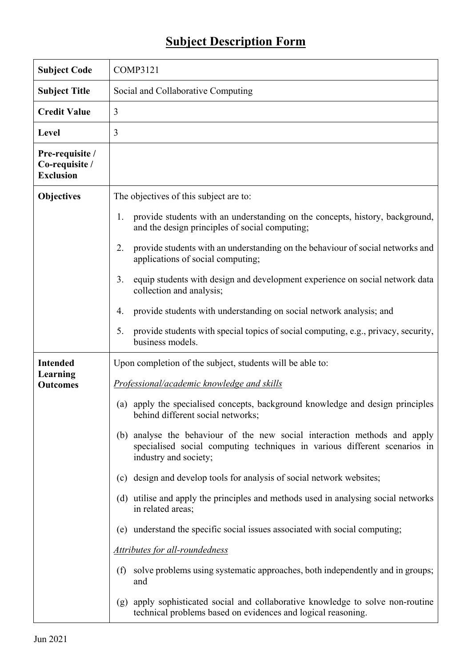## **Subject Description Form**

| <b>Subject Code</b>                                   | <b>COMP3121</b>                                                                                                                                                                    |  |  |  |  |
|-------------------------------------------------------|------------------------------------------------------------------------------------------------------------------------------------------------------------------------------------|--|--|--|--|
| <b>Subject Title</b>                                  | Social and Collaborative Computing                                                                                                                                                 |  |  |  |  |
| <b>Credit Value</b>                                   | 3                                                                                                                                                                                  |  |  |  |  |
| <b>Level</b>                                          | 3                                                                                                                                                                                  |  |  |  |  |
| Pre-requisite /<br>Co-requisite /<br><b>Exclusion</b> |                                                                                                                                                                                    |  |  |  |  |
| <b>Objectives</b>                                     | The objectives of this subject are to:                                                                                                                                             |  |  |  |  |
|                                                       | provide students with an understanding on the concepts, history, background,<br>1.<br>and the design principles of social computing;                                               |  |  |  |  |
|                                                       | provide students with an understanding on the behaviour of social networks and<br>2.<br>applications of social computing;                                                          |  |  |  |  |
|                                                       | equip students with design and development experience on social network data<br>3.<br>collection and analysis;                                                                     |  |  |  |  |
|                                                       | provide students with understanding on social network analysis; and<br>4.                                                                                                          |  |  |  |  |
|                                                       | provide students with special topics of social computing, e.g., privacy, security,<br>5.<br>business models.                                                                       |  |  |  |  |
| <b>Intended</b><br>Learning<br><b>Outcomes</b>        | Upon completion of the subject, students will be able to:                                                                                                                          |  |  |  |  |
|                                                       | Professional/academic knowledge and skills                                                                                                                                         |  |  |  |  |
|                                                       | (a) apply the specialised concepts, background knowledge and design principles<br>behind different social networks;                                                                |  |  |  |  |
|                                                       | analyse the behaviour of the new social interaction methods and apply<br>(b)<br>specialised social computing techniques in various different scenarios in<br>industry and society; |  |  |  |  |
|                                                       | (c) design and develop tools for analysis of social network websites;                                                                                                              |  |  |  |  |
|                                                       | utilise and apply the principles and methods used in analysing social networks<br>(d)<br>in related areas;                                                                         |  |  |  |  |
|                                                       | (e) understand the specific social issues associated with social computing;                                                                                                        |  |  |  |  |
|                                                       | Attributes for all-roundedness                                                                                                                                                     |  |  |  |  |
|                                                       | solve problems using systematic approaches, both independently and in groups;<br>(f)<br>and                                                                                        |  |  |  |  |
|                                                       | apply sophisticated social and collaborative knowledge to solve non-routine<br>(g)<br>technical problems based on evidences and logical reasoning.                                 |  |  |  |  |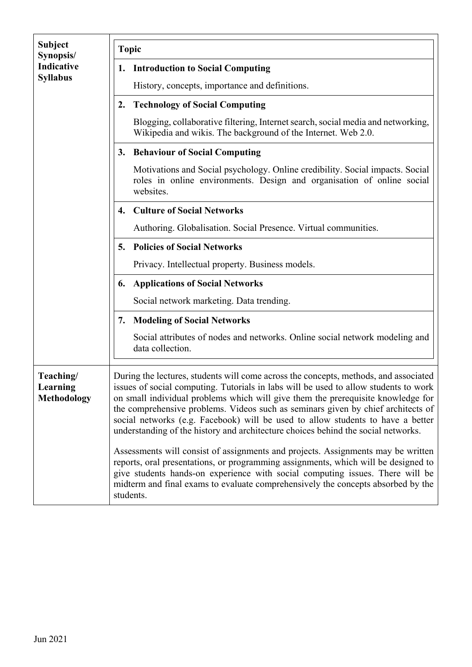| Subject<br>Synopsis/<br><b>Indicative</b><br><b>Syllabus</b> | <b>Topic</b>                                                                                                                                                                                                                                                                                                                                                                                                                                                                                                                 |  |  |  |  |
|--------------------------------------------------------------|------------------------------------------------------------------------------------------------------------------------------------------------------------------------------------------------------------------------------------------------------------------------------------------------------------------------------------------------------------------------------------------------------------------------------------------------------------------------------------------------------------------------------|--|--|--|--|
|                                                              | <b>Introduction to Social Computing</b><br>1.                                                                                                                                                                                                                                                                                                                                                                                                                                                                                |  |  |  |  |
|                                                              | History, concepts, importance and definitions.                                                                                                                                                                                                                                                                                                                                                                                                                                                                               |  |  |  |  |
|                                                              | <b>Technology of Social Computing</b><br>2.                                                                                                                                                                                                                                                                                                                                                                                                                                                                                  |  |  |  |  |
|                                                              | Blogging, collaborative filtering, Internet search, social media and networking,<br>Wikipedia and wikis. The background of the Internet. Web 2.0.                                                                                                                                                                                                                                                                                                                                                                            |  |  |  |  |
|                                                              | <b>Behaviour of Social Computing</b><br>3.                                                                                                                                                                                                                                                                                                                                                                                                                                                                                   |  |  |  |  |
|                                                              | Motivations and Social psychology. Online credibility. Social impacts. Social<br>roles in online environments. Design and organisation of online social<br>websites.                                                                                                                                                                                                                                                                                                                                                         |  |  |  |  |
|                                                              | <b>Culture of Social Networks</b><br>4.                                                                                                                                                                                                                                                                                                                                                                                                                                                                                      |  |  |  |  |
|                                                              | Authoring. Globalisation. Social Presence. Virtual communities.                                                                                                                                                                                                                                                                                                                                                                                                                                                              |  |  |  |  |
|                                                              | <b>Policies of Social Networks</b><br>5.                                                                                                                                                                                                                                                                                                                                                                                                                                                                                     |  |  |  |  |
|                                                              | Privacy. Intellectual property. Business models.                                                                                                                                                                                                                                                                                                                                                                                                                                                                             |  |  |  |  |
|                                                              | <b>Applications of Social Networks</b><br>6.                                                                                                                                                                                                                                                                                                                                                                                                                                                                                 |  |  |  |  |
|                                                              | Social network marketing. Data trending.                                                                                                                                                                                                                                                                                                                                                                                                                                                                                     |  |  |  |  |
|                                                              | <b>Modeling of Social Networks</b><br>7.                                                                                                                                                                                                                                                                                                                                                                                                                                                                                     |  |  |  |  |
|                                                              | Social attributes of nodes and networks. Online social network modeling and<br>data collection.                                                                                                                                                                                                                                                                                                                                                                                                                              |  |  |  |  |
| Teaching/<br>Learning<br><b>Methodology</b>                  | During the lectures, students will come across the concepts, methods, and associated<br>issues of social computing. Tutorials in labs will be used to allow students to work<br>on small individual problems which will give them the prerequisite knowledge for<br>the comprehensive problems. Videos such as seminars given by chief architects of<br>social networks (e.g. Facebook) will be used to allow students to have a better<br>understanding of the history and architecture choices behind the social networks. |  |  |  |  |
|                                                              | Assessments will consist of assignments and projects. Assignments may be written<br>reports, oral presentations, or programming assignments, which will be designed to<br>give students hands-on experience with social computing issues. There will be<br>midterm and final exams to evaluate comprehensively the concepts absorbed by the<br>students.                                                                                                                                                                     |  |  |  |  |